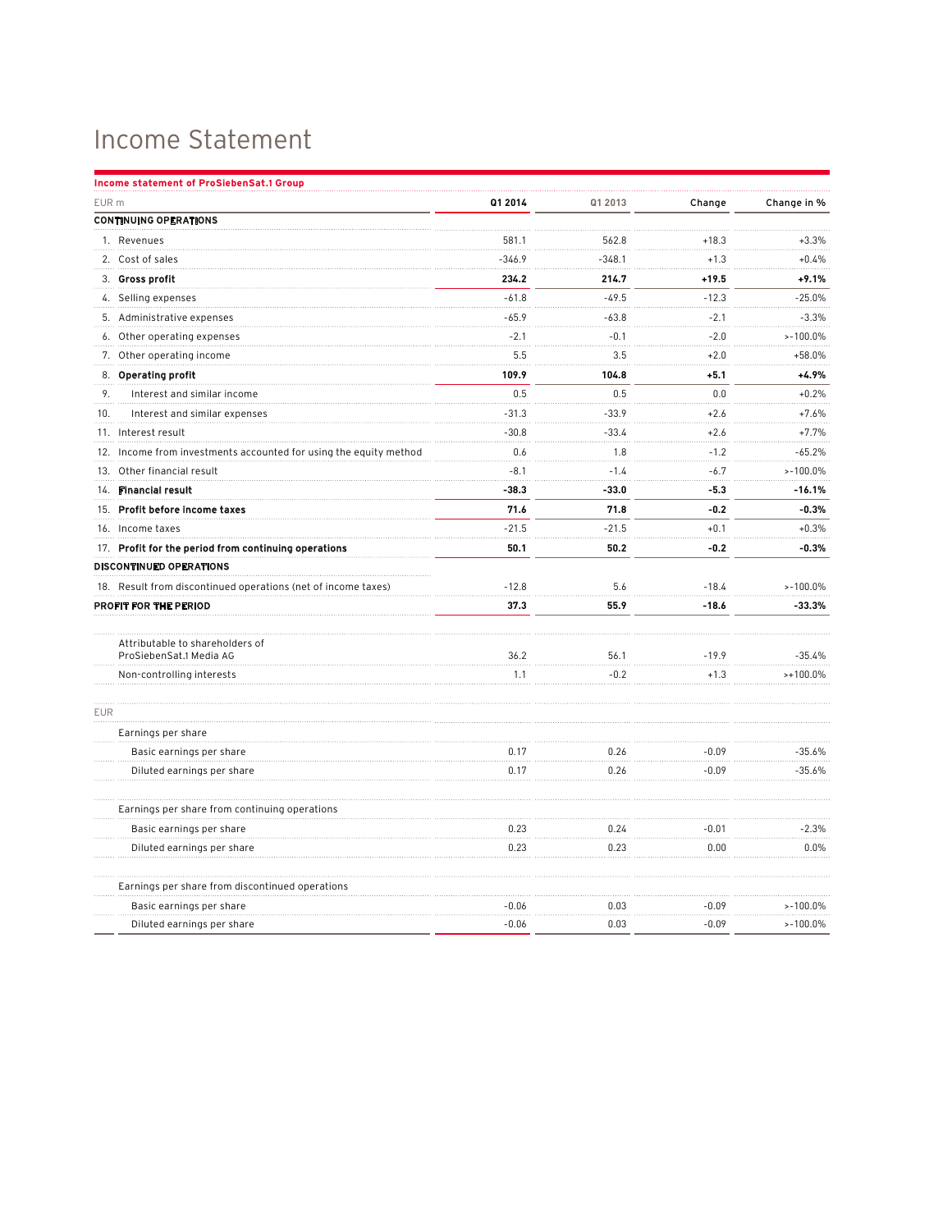## Income Statement

| Q1 2014<br>EUR <sub>m</sub><br>Q1 2013<br>Change<br>Change in %<br><b>CONTINUING OPERATIONS</b><br>581.1<br>562.8<br>1. Revenues<br>$+18.3$<br>$+3.3%$<br>$-346.9$<br>$-348.1$<br>2. Cost of sales<br>$+1.3$<br>$+0.4%$<br>3. Gross profit<br>234.2<br>214.7<br>$+19.5$<br>$+9.1%$<br>$-49.5$<br>$-12.3$<br>$-25.0%$<br>4. Selling expenses<br>$-61.8$<br>$-65.9$<br>$-2.1$<br>$-3.3%$<br>$-63.8$<br>5. Administrative expenses<br>$-2.1$<br>$-0.1$<br>$-2.0$<br>$> -100.0\%$<br>6. Other operating expenses<br>5.5<br>3.5<br>$+2.0$<br>$+58.0%$<br>7. Other operating income<br>8. Operating profit<br>109.9<br>104.8<br>$+5.1$<br>$+4.9%$<br>0.5<br>0.5<br>0.0<br>9.<br>$+0.2%$<br>Interest and similar income<br>$-33.9$<br>$+7.6%$<br>10.<br>Interest and similar expenses<br>$-31.3$<br>$+2.6$<br>$-30.8$<br>$-33.4$<br>$+7.7%$<br>$+2.6$<br>11. Interest result<br>0.6<br>$-65.2%$<br>12. Income from investments accounted for using the equity method<br>1.8<br>$-1.2$<br>$-6.7$<br>$-8.1$<br>$-1.4$<br>$>-100.0\%$<br>13. Other financial result<br>14. Financial result<br>$-33.0$<br>$-5.3$<br>$-16.1%$<br>$-38.3$<br>71.8<br>$-0.2$<br>71.6<br>$-0.3%$<br>15. Profit before income taxes<br>$-21.5$<br>$-21.5$<br>$+0.1$<br>$+0.3%$<br>16. Income taxes<br>17. Profit for the period from continuing operations<br>50.1<br>50.2<br>$-0.2$<br>$-0.3%$<br>DISCONTINUED OPERATIONS<br>5.6<br>18. Result from discontinued operations (net of income taxes)<br>$-12.8$<br>$-18.4$<br>$> -100.0\%$<br>PROFIT FOR THE PERIOD<br>37.3<br>55.9<br>$-18.6$<br>$-33.3%$<br>Attributable to shareholders of<br>36.2<br>ProSiebenSat.1 Media AG<br>56.1<br>$-19.9$<br>$-35.4%$<br>$-0.2$<br>1.1<br>$+1.3$<br>$>+100.0\%$<br>Non-controlling interests<br><b>EUR</b><br>Earnings per share<br>$-0.09$<br>$-35.6%$<br>Basic earnings per share<br>0.17<br>0.26<br>Diluted earnings per share<br>0.26<br>$-0.09$<br>$-35.6%$<br>0.17<br>Earnings per share from continuing operations<br>$-0.01$<br>$-2.3%$<br>0.23<br>0.24<br>Basic earnings per share<br>0.23<br>0.23<br>0.00<br>0.0%<br>Diluted earnings per share<br>Earnings per share from discontinued operations<br>0.03<br>$-0.09$<br>$>-100.0\%$<br>Basic earnings per share<br>$-0.06$<br>$-0.06$<br>0.03<br>$> -100.0\%$<br>Diluted earnings per share<br>$-0.09$ | Income statement of ProSiebenSat.1 Group |  |  |
|----------------------------------------------------------------------------------------------------------------------------------------------------------------------------------------------------------------------------------------------------------------------------------------------------------------------------------------------------------------------------------------------------------------------------------------------------------------------------------------------------------------------------------------------------------------------------------------------------------------------------------------------------------------------------------------------------------------------------------------------------------------------------------------------------------------------------------------------------------------------------------------------------------------------------------------------------------------------------------------------------------------------------------------------------------------------------------------------------------------------------------------------------------------------------------------------------------------------------------------------------------------------------------------------------------------------------------------------------------------------------------------------------------------------------------------------------------------------------------------------------------------------------------------------------------------------------------------------------------------------------------------------------------------------------------------------------------------------------------------------------------------------------------------------------------------------------------------------------------------------------------------------------------------------------------------------------------------------------------------------------------------------------------------------------------------------------------------------------------------------------------------------------------------------------------------------------------------------------------------------------------------------------------------------------------------------------|------------------------------------------|--|--|
|                                                                                                                                                                                                                                                                                                                                                                                                                                                                                                                                                                                                                                                                                                                                                                                                                                                                                                                                                                                                                                                                                                                                                                                                                                                                                                                                                                                                                                                                                                                                                                                                                                                                                                                                                                                                                                                                                                                                                                                                                                                                                                                                                                                                                                                                                                                            |                                          |  |  |
|                                                                                                                                                                                                                                                                                                                                                                                                                                                                                                                                                                                                                                                                                                                                                                                                                                                                                                                                                                                                                                                                                                                                                                                                                                                                                                                                                                                                                                                                                                                                                                                                                                                                                                                                                                                                                                                                                                                                                                                                                                                                                                                                                                                                                                                                                                                            |                                          |  |  |
|                                                                                                                                                                                                                                                                                                                                                                                                                                                                                                                                                                                                                                                                                                                                                                                                                                                                                                                                                                                                                                                                                                                                                                                                                                                                                                                                                                                                                                                                                                                                                                                                                                                                                                                                                                                                                                                                                                                                                                                                                                                                                                                                                                                                                                                                                                                            |                                          |  |  |
|                                                                                                                                                                                                                                                                                                                                                                                                                                                                                                                                                                                                                                                                                                                                                                                                                                                                                                                                                                                                                                                                                                                                                                                                                                                                                                                                                                                                                                                                                                                                                                                                                                                                                                                                                                                                                                                                                                                                                                                                                                                                                                                                                                                                                                                                                                                            |                                          |  |  |
|                                                                                                                                                                                                                                                                                                                                                                                                                                                                                                                                                                                                                                                                                                                                                                                                                                                                                                                                                                                                                                                                                                                                                                                                                                                                                                                                                                                                                                                                                                                                                                                                                                                                                                                                                                                                                                                                                                                                                                                                                                                                                                                                                                                                                                                                                                                            |                                          |  |  |
|                                                                                                                                                                                                                                                                                                                                                                                                                                                                                                                                                                                                                                                                                                                                                                                                                                                                                                                                                                                                                                                                                                                                                                                                                                                                                                                                                                                                                                                                                                                                                                                                                                                                                                                                                                                                                                                                                                                                                                                                                                                                                                                                                                                                                                                                                                                            |                                          |  |  |
|                                                                                                                                                                                                                                                                                                                                                                                                                                                                                                                                                                                                                                                                                                                                                                                                                                                                                                                                                                                                                                                                                                                                                                                                                                                                                                                                                                                                                                                                                                                                                                                                                                                                                                                                                                                                                                                                                                                                                                                                                                                                                                                                                                                                                                                                                                                            |                                          |  |  |
|                                                                                                                                                                                                                                                                                                                                                                                                                                                                                                                                                                                                                                                                                                                                                                                                                                                                                                                                                                                                                                                                                                                                                                                                                                                                                                                                                                                                                                                                                                                                                                                                                                                                                                                                                                                                                                                                                                                                                                                                                                                                                                                                                                                                                                                                                                                            |                                          |  |  |
|                                                                                                                                                                                                                                                                                                                                                                                                                                                                                                                                                                                                                                                                                                                                                                                                                                                                                                                                                                                                                                                                                                                                                                                                                                                                                                                                                                                                                                                                                                                                                                                                                                                                                                                                                                                                                                                                                                                                                                                                                                                                                                                                                                                                                                                                                                                            |                                          |  |  |
|                                                                                                                                                                                                                                                                                                                                                                                                                                                                                                                                                                                                                                                                                                                                                                                                                                                                                                                                                                                                                                                                                                                                                                                                                                                                                                                                                                                                                                                                                                                                                                                                                                                                                                                                                                                                                                                                                                                                                                                                                                                                                                                                                                                                                                                                                                                            |                                          |  |  |
|                                                                                                                                                                                                                                                                                                                                                                                                                                                                                                                                                                                                                                                                                                                                                                                                                                                                                                                                                                                                                                                                                                                                                                                                                                                                                                                                                                                                                                                                                                                                                                                                                                                                                                                                                                                                                                                                                                                                                                                                                                                                                                                                                                                                                                                                                                                            |                                          |  |  |
|                                                                                                                                                                                                                                                                                                                                                                                                                                                                                                                                                                                                                                                                                                                                                                                                                                                                                                                                                                                                                                                                                                                                                                                                                                                                                                                                                                                                                                                                                                                                                                                                                                                                                                                                                                                                                                                                                                                                                                                                                                                                                                                                                                                                                                                                                                                            |                                          |  |  |
|                                                                                                                                                                                                                                                                                                                                                                                                                                                                                                                                                                                                                                                                                                                                                                                                                                                                                                                                                                                                                                                                                                                                                                                                                                                                                                                                                                                                                                                                                                                                                                                                                                                                                                                                                                                                                                                                                                                                                                                                                                                                                                                                                                                                                                                                                                                            |                                          |  |  |
|                                                                                                                                                                                                                                                                                                                                                                                                                                                                                                                                                                                                                                                                                                                                                                                                                                                                                                                                                                                                                                                                                                                                                                                                                                                                                                                                                                                                                                                                                                                                                                                                                                                                                                                                                                                                                                                                                                                                                                                                                                                                                                                                                                                                                                                                                                                            |                                          |  |  |
|                                                                                                                                                                                                                                                                                                                                                                                                                                                                                                                                                                                                                                                                                                                                                                                                                                                                                                                                                                                                                                                                                                                                                                                                                                                                                                                                                                                                                                                                                                                                                                                                                                                                                                                                                                                                                                                                                                                                                                                                                                                                                                                                                                                                                                                                                                                            |                                          |  |  |
|                                                                                                                                                                                                                                                                                                                                                                                                                                                                                                                                                                                                                                                                                                                                                                                                                                                                                                                                                                                                                                                                                                                                                                                                                                                                                                                                                                                                                                                                                                                                                                                                                                                                                                                                                                                                                                                                                                                                                                                                                                                                                                                                                                                                                                                                                                                            |                                          |  |  |
|                                                                                                                                                                                                                                                                                                                                                                                                                                                                                                                                                                                                                                                                                                                                                                                                                                                                                                                                                                                                                                                                                                                                                                                                                                                                                                                                                                                                                                                                                                                                                                                                                                                                                                                                                                                                                                                                                                                                                                                                                                                                                                                                                                                                                                                                                                                            |                                          |  |  |
|                                                                                                                                                                                                                                                                                                                                                                                                                                                                                                                                                                                                                                                                                                                                                                                                                                                                                                                                                                                                                                                                                                                                                                                                                                                                                                                                                                                                                                                                                                                                                                                                                                                                                                                                                                                                                                                                                                                                                                                                                                                                                                                                                                                                                                                                                                                            |                                          |  |  |
|                                                                                                                                                                                                                                                                                                                                                                                                                                                                                                                                                                                                                                                                                                                                                                                                                                                                                                                                                                                                                                                                                                                                                                                                                                                                                                                                                                                                                                                                                                                                                                                                                                                                                                                                                                                                                                                                                                                                                                                                                                                                                                                                                                                                                                                                                                                            |                                          |  |  |
|                                                                                                                                                                                                                                                                                                                                                                                                                                                                                                                                                                                                                                                                                                                                                                                                                                                                                                                                                                                                                                                                                                                                                                                                                                                                                                                                                                                                                                                                                                                                                                                                                                                                                                                                                                                                                                                                                                                                                                                                                                                                                                                                                                                                                                                                                                                            |                                          |  |  |
|                                                                                                                                                                                                                                                                                                                                                                                                                                                                                                                                                                                                                                                                                                                                                                                                                                                                                                                                                                                                                                                                                                                                                                                                                                                                                                                                                                                                                                                                                                                                                                                                                                                                                                                                                                                                                                                                                                                                                                                                                                                                                                                                                                                                                                                                                                                            |                                          |  |  |
|                                                                                                                                                                                                                                                                                                                                                                                                                                                                                                                                                                                                                                                                                                                                                                                                                                                                                                                                                                                                                                                                                                                                                                                                                                                                                                                                                                                                                                                                                                                                                                                                                                                                                                                                                                                                                                                                                                                                                                                                                                                                                                                                                                                                                                                                                                                            |                                          |  |  |
|                                                                                                                                                                                                                                                                                                                                                                                                                                                                                                                                                                                                                                                                                                                                                                                                                                                                                                                                                                                                                                                                                                                                                                                                                                                                                                                                                                                                                                                                                                                                                                                                                                                                                                                                                                                                                                                                                                                                                                                                                                                                                                                                                                                                                                                                                                                            |                                          |  |  |
|                                                                                                                                                                                                                                                                                                                                                                                                                                                                                                                                                                                                                                                                                                                                                                                                                                                                                                                                                                                                                                                                                                                                                                                                                                                                                                                                                                                                                                                                                                                                                                                                                                                                                                                                                                                                                                                                                                                                                                                                                                                                                                                                                                                                                                                                                                                            |                                          |  |  |
|                                                                                                                                                                                                                                                                                                                                                                                                                                                                                                                                                                                                                                                                                                                                                                                                                                                                                                                                                                                                                                                                                                                                                                                                                                                                                                                                                                                                                                                                                                                                                                                                                                                                                                                                                                                                                                                                                                                                                                                                                                                                                                                                                                                                                                                                                                                            |                                          |  |  |
|                                                                                                                                                                                                                                                                                                                                                                                                                                                                                                                                                                                                                                                                                                                                                                                                                                                                                                                                                                                                                                                                                                                                                                                                                                                                                                                                                                                                                                                                                                                                                                                                                                                                                                                                                                                                                                                                                                                                                                                                                                                                                                                                                                                                                                                                                                                            |                                          |  |  |
|                                                                                                                                                                                                                                                                                                                                                                                                                                                                                                                                                                                                                                                                                                                                                                                                                                                                                                                                                                                                                                                                                                                                                                                                                                                                                                                                                                                                                                                                                                                                                                                                                                                                                                                                                                                                                                                                                                                                                                                                                                                                                                                                                                                                                                                                                                                            |                                          |  |  |
|                                                                                                                                                                                                                                                                                                                                                                                                                                                                                                                                                                                                                                                                                                                                                                                                                                                                                                                                                                                                                                                                                                                                                                                                                                                                                                                                                                                                                                                                                                                                                                                                                                                                                                                                                                                                                                                                                                                                                                                                                                                                                                                                                                                                                                                                                                                            |                                          |  |  |
|                                                                                                                                                                                                                                                                                                                                                                                                                                                                                                                                                                                                                                                                                                                                                                                                                                                                                                                                                                                                                                                                                                                                                                                                                                                                                                                                                                                                                                                                                                                                                                                                                                                                                                                                                                                                                                                                                                                                                                                                                                                                                                                                                                                                                                                                                                                            |                                          |  |  |
|                                                                                                                                                                                                                                                                                                                                                                                                                                                                                                                                                                                                                                                                                                                                                                                                                                                                                                                                                                                                                                                                                                                                                                                                                                                                                                                                                                                                                                                                                                                                                                                                                                                                                                                                                                                                                                                                                                                                                                                                                                                                                                                                                                                                                                                                                                                            |                                          |  |  |
|                                                                                                                                                                                                                                                                                                                                                                                                                                                                                                                                                                                                                                                                                                                                                                                                                                                                                                                                                                                                                                                                                                                                                                                                                                                                                                                                                                                                                                                                                                                                                                                                                                                                                                                                                                                                                                                                                                                                                                                                                                                                                                                                                                                                                                                                                                                            |                                          |  |  |
|                                                                                                                                                                                                                                                                                                                                                                                                                                                                                                                                                                                                                                                                                                                                                                                                                                                                                                                                                                                                                                                                                                                                                                                                                                                                                                                                                                                                                                                                                                                                                                                                                                                                                                                                                                                                                                                                                                                                                                                                                                                                                                                                                                                                                                                                                                                            |                                          |  |  |
|                                                                                                                                                                                                                                                                                                                                                                                                                                                                                                                                                                                                                                                                                                                                                                                                                                                                                                                                                                                                                                                                                                                                                                                                                                                                                                                                                                                                                                                                                                                                                                                                                                                                                                                                                                                                                                                                                                                                                                                                                                                                                                                                                                                                                                                                                                                            |                                          |  |  |
|                                                                                                                                                                                                                                                                                                                                                                                                                                                                                                                                                                                                                                                                                                                                                                                                                                                                                                                                                                                                                                                                                                                                                                                                                                                                                                                                                                                                                                                                                                                                                                                                                                                                                                                                                                                                                                                                                                                                                                                                                                                                                                                                                                                                                                                                                                                            |                                          |  |  |
|                                                                                                                                                                                                                                                                                                                                                                                                                                                                                                                                                                                                                                                                                                                                                                                                                                                                                                                                                                                                                                                                                                                                                                                                                                                                                                                                                                                                                                                                                                                                                                                                                                                                                                                                                                                                                                                                                                                                                                                                                                                                                                                                                                                                                                                                                                                            |                                          |  |  |